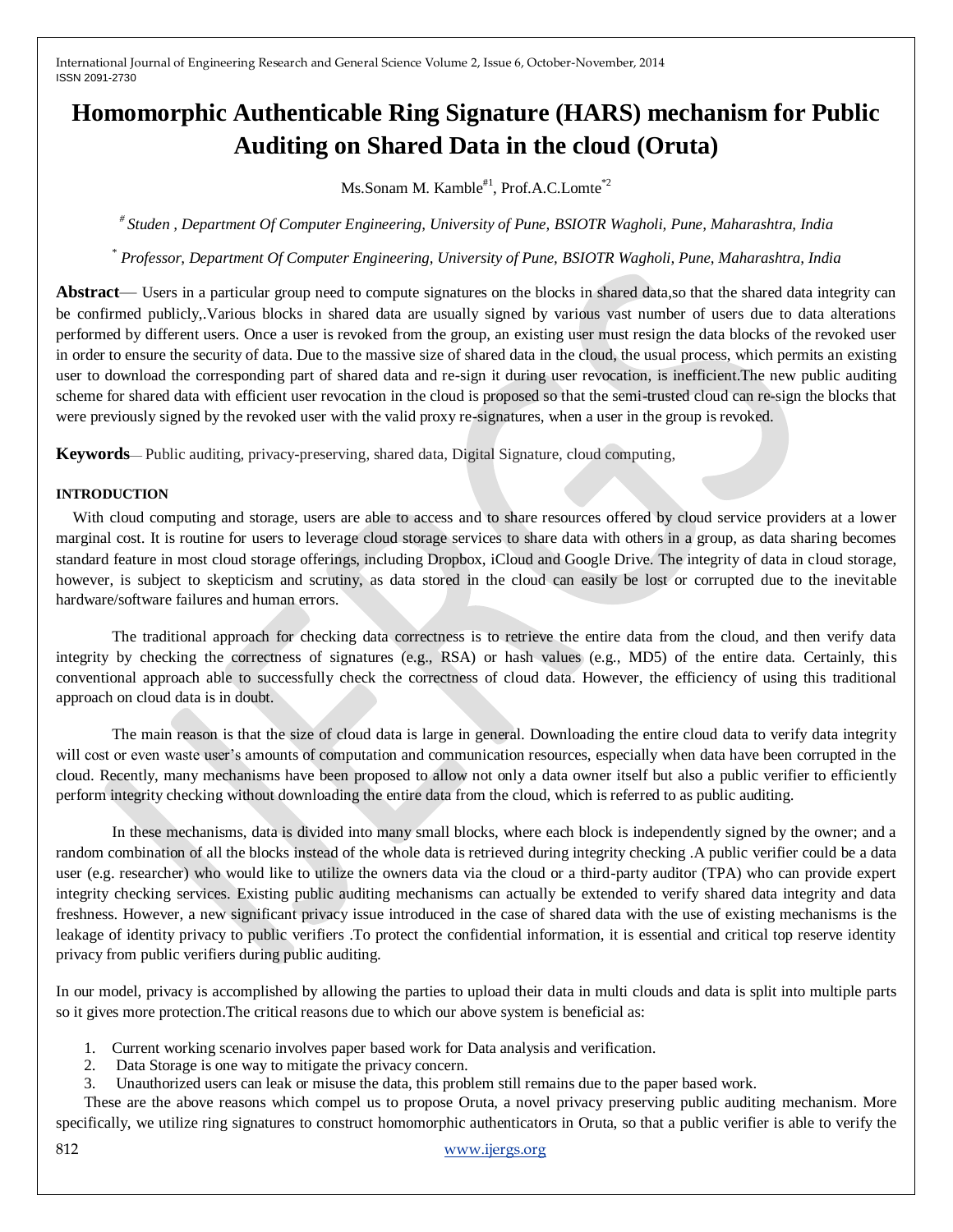# **Homomorphic Authenticable Ring Signature (HARS) mechanism for Public Auditing on Shared Data in the cloud (Oruta)**

Ms.Sonam M. Kamble<sup>#1</sup>, Prof.A.C.Lomte<sup>\*2</sup>

*# Studen , Department Of Computer Engineering, University of Pune, BSIOTR Wagholi, Pune, Maharashtra, India*

*\* Professor, Department Of Computer Engineering, University of Pune, BSIOTR Wagholi, Pune, Maharashtra, India*

**Abstract**— Users in a particular group need to compute signatures on the blocks in shared data,so that the shared data integrity can be confirmed publicly,.Various blocks in shared data are usually signed by various vast number of users due to data alterations performed by different users. Once a user is revoked from the group, an existing user must resign the data blocks of the revoked user in order to ensure the security of data. Due to the massive size of shared data in the cloud, the usual process, which permits an existing user to download the corresponding part of shared data and re-sign it during user revocation, is inefficient.The new public auditing scheme for shared data with efficient user revocation in the cloud is proposed so that the semi-trusted cloud can re-sign the blocks that were previously signed by the revoked user with the valid proxy re-signatures, when a user in the group is revoked.

**Keywords**— Public auditing, privacy-preserving, shared data, Digital Signature, cloud computing,

#### **INTRODUCTION**

With cloud computing and storage, users are able to access and to share resources offered by cloud service providers at a lower marginal cost. It is routine for users to leverage cloud storage services to share data with others in a group, as data sharing becomes standard feature in most cloud storage offerings, including Dropbox, iCloud and Google Drive. The integrity of data in cloud storage, however, is subject to skepticism and scrutiny, as data stored in the cloud can easily be lost or corrupted due to the inevitable hardware/software failures and human errors.

The traditional approach for checking data correctness is to retrieve the entire data from the cloud, and then verify data integrity by checking the correctness of signatures (e.g., RSA) or hash values (e.g., MD5) of the entire data. Certainly, this conventional approach able to successfully check the correctness of cloud data. However, the efficiency of using this traditional approach on cloud data is in doubt.

The main reason is that the size of cloud data is large in general. Downloading the entire cloud data to verify data integrity will cost or even waste user's amounts of computation and communication resources, especially when data have been corrupted in the cloud. Recently, many mechanisms have been proposed to allow not only a data owner itself but also a public verifier to efficiently perform integrity checking without downloading the entire data from the cloud, which is referred to as public auditing.

In these mechanisms, data is divided into many small blocks, where each block is independently signed by the owner; and a random combination of all the blocks instead of the whole data is retrieved during integrity checking .A public verifier could be a data user (e.g. researcher) who would like to utilize the owners data via the cloud or a third-party auditor (TPA) who can provide expert integrity checking services. Existing public auditing mechanisms can actually be extended to verify shared data integrity and data freshness. However, a new significant privacy issue introduced in the case of shared data with the use of existing mechanisms is the leakage of identity privacy to public verifiers .To protect the confidential information, it is essential and critical top reserve identity privacy from public verifiers during public auditing.

In our model, privacy is accomplished by allowing the parties to upload their data in multi clouds and data is split into multiple parts so it gives more protection.The critical reasons due to which our above system is beneficial as:

- 1. Current working scenario involves paper based work for Data analysis and verification.
- 2. Data Storage is one way to mitigate the privacy concern.
- 3. Unauthorized users can leak or misuse the data, this problem still remains due to the paper based work.

These are the above reasons which compel us to propose Oruta, a novel privacy preserving public auditing mechanism. More specifically, we utilize ring signatures to construct homomorphic authenticators in Oruta, so that a public verifier is able to verify the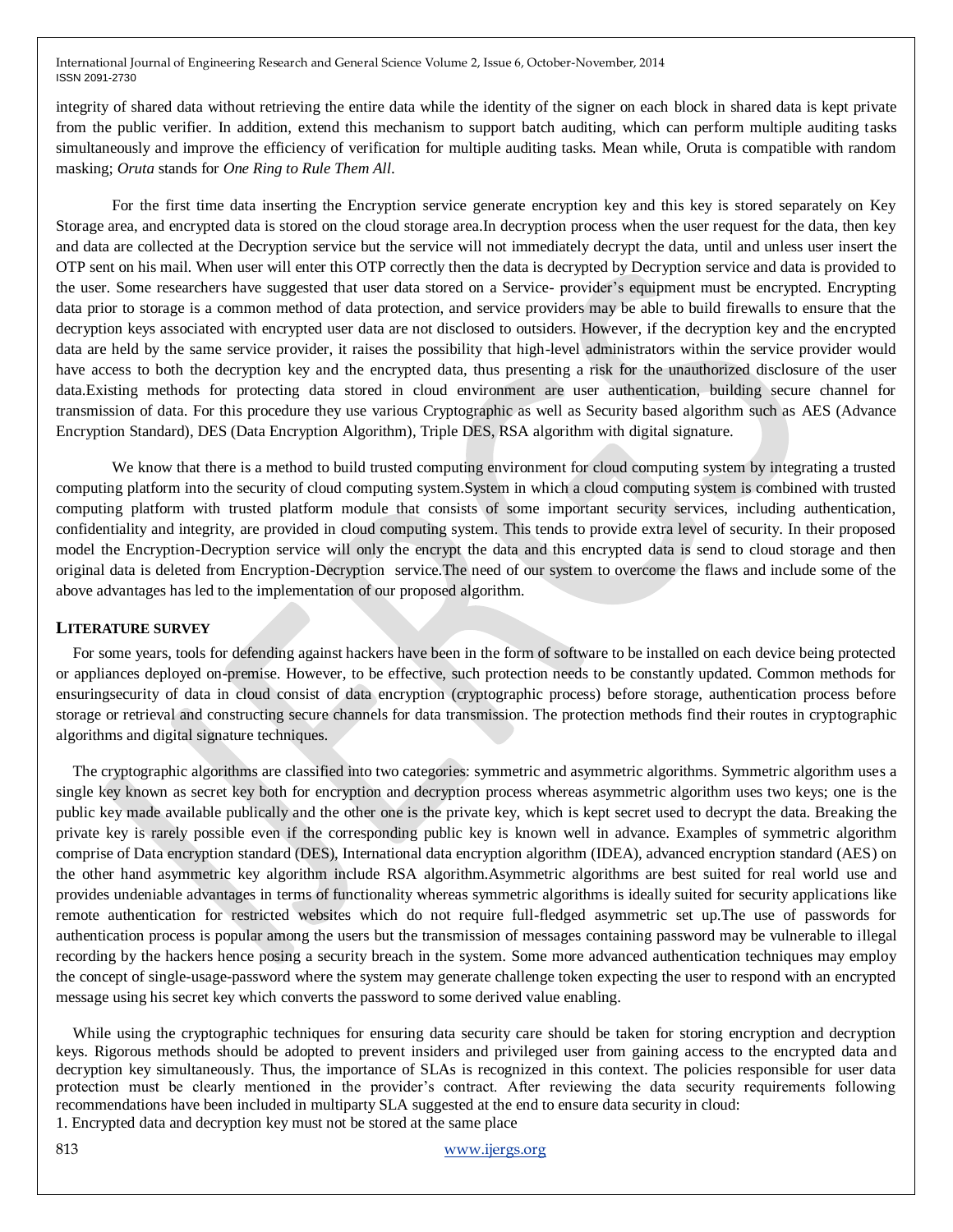integrity of shared data without retrieving the entire data while the identity of the signer on each block in shared data is kept private from the public verifier. In addition, extend this mechanism to support batch auditing, which can perform multiple auditing tasks simultaneously and improve the efficiency of verification for multiple auditing tasks. Mean while, Oruta is compatible with random masking; *Oruta* stands for *One Ring to Rule Them All*.

For the first time data inserting the Encryption service generate encryption key and this key is stored separately on Key Storage area, and encrypted data is stored on the cloud storage area.In decryption process when the user request for the data, then key and data are collected at the Decryption service but the service will not immediately decrypt the data, until and unless user insert the OTP sent on his mail. When user will enter this OTP correctly then the data is decrypted by Decryption service and data is provided to the user. Some researchers have suggested that user data stored on a Service- provider's equipment must be encrypted. Encrypting data prior to storage is a common method of data protection, and service providers may be able to build firewalls to ensure that the decryption keys associated with encrypted user data are not disclosed to outsiders. However, if the decryption key and the encrypted data are held by the same service provider, it raises the possibility that high-level administrators within the service provider would have access to both the decryption key and the encrypted data, thus presenting a risk for the unauthorized disclosure of the user data.Existing methods for protecting data stored in cloud environment are user authentication, building secure channel for transmission of data. For this procedure they use various Cryptographic as well as Security based algorithm such as AES (Advance Encryption Standard), DES (Data Encryption Algorithm), Triple DES, RSA algorithm with digital signature.

We know that there is a method to build trusted computing environment for cloud computing system by integrating a trusted computing platform into the security of cloud computing system.System in which a cloud computing system is combined with trusted computing platform with trusted platform module that consists of some important security services, including authentication, confidentiality and integrity, are provided in cloud computing system. This tends to provide extra level of security. In their proposed model the Encryption-Decryption service will only the encrypt the data and this encrypted data is send to cloud storage and then original data is deleted from Encryption-Decryption service.The need of our system to overcome the flaws and include some of the above advantages has led to the implementation of our proposed algorithm.

#### **LITERATURE SURVEY**

For some years, tools for defending against hackers have been in the form of software to be installed on each device being protected or appliances deployed on-premise. However, to be effective, such protection needs to be constantly updated. Common methods for ensuringsecurity of data in cloud consist of data encryption (cryptographic process) before storage, authentication process before storage or retrieval and constructing secure channels for data transmission. The protection methods find their routes in cryptographic algorithms and digital signature techniques.

The cryptographic algorithms are classified into two categories: symmetric and asymmetric algorithms. Symmetric algorithm uses a single key known as secret key both for encryption and decryption process whereas asymmetric algorithm uses two keys; one is the public key made available publically and the other one is the private key, which is kept secret used to decrypt the data. Breaking the private key is rarely possible even if the corresponding public key is known well in advance. Examples of symmetric algorithm comprise of Data encryption standard (DES), International data encryption algorithm (IDEA), advanced encryption standard (AES) on the other hand asymmetric key algorithm include RSA algorithm.Asymmetric algorithms are best suited for real world use and provides undeniable advantages in terms of functionality whereas symmetric algorithms is ideally suited for security applications like remote authentication for restricted websites which do not require full-fledged asymmetric set up.The use of passwords for authentication process is popular among the users but the transmission of messages containing password may be vulnerable to illegal recording by the hackers hence posing a security breach in the system. Some more advanced authentication techniques may employ the concept of single-usage-password where the system may generate challenge token expecting the user to respond with an encrypted message using his secret key which converts the password to some derived value enabling.

While using the cryptographic techniques for ensuring data security care should be taken for storing encryption and decryption keys. Rigorous methods should be adopted to prevent insiders and privileged user from gaining access to the encrypted data and decryption key simultaneously. Thus, the importance of SLAs is recognized in this context. The policies responsible for user data protection must be clearly mentioned in the provider's contract. After reviewing the data security requirements following recommendations have been included in multiparty SLA suggested at the end to ensure data security in cloud: 1. Encrypted data and decryption key must not be stored at the same place

813 www.ijergs.org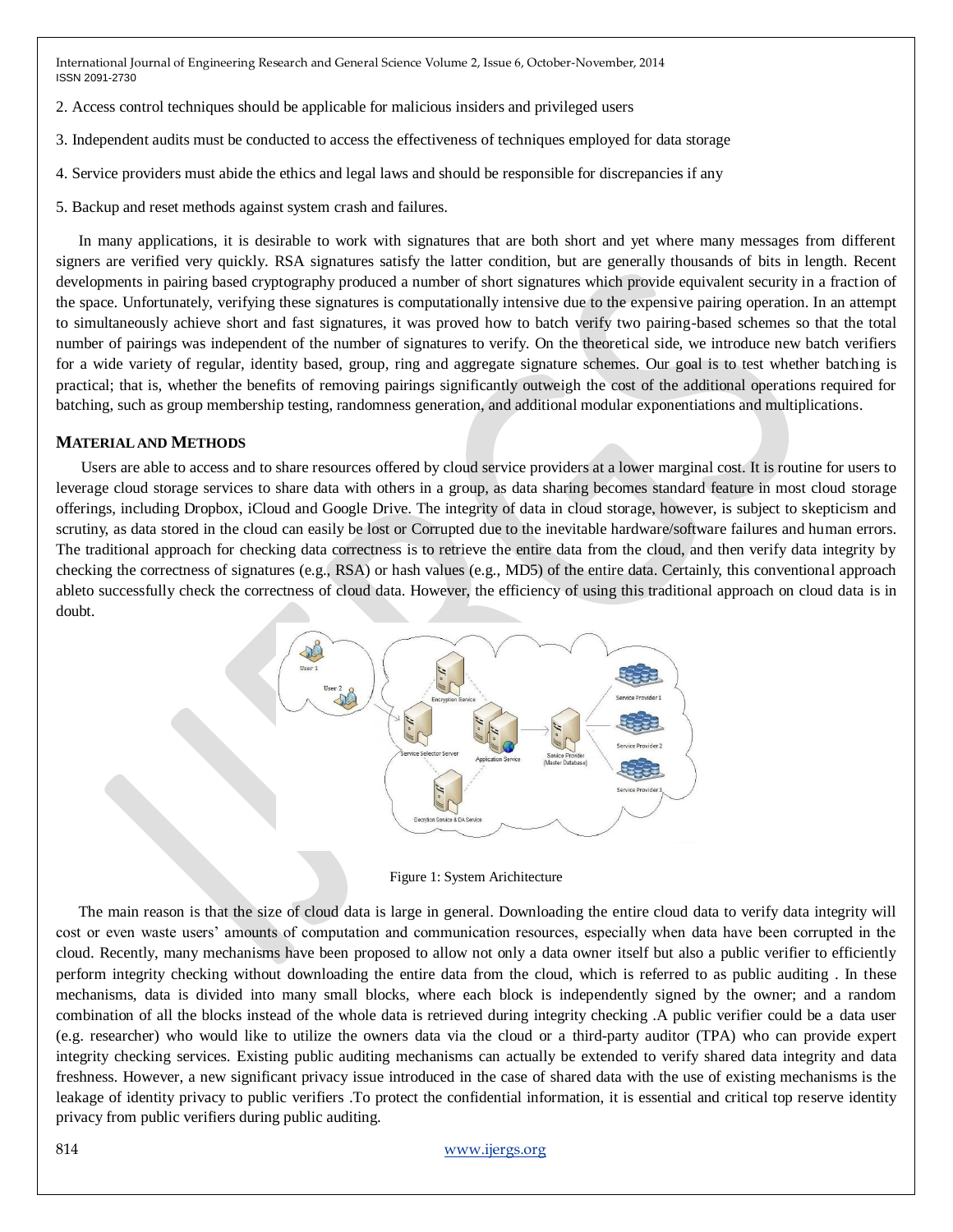- 2. Access control techniques should be applicable for malicious insiders and privileged users
- 3. Independent audits must be conducted to access the effectiveness of techniques employed for data storage
- 4. Service providers must abide the ethics and legal laws and should be responsible for discrepancies if any
- 5. Backup and reset methods against system crash and failures.

In many applications, it is desirable to work with signatures that are both short and yet where many messages from different signers are verified very quickly. RSA signatures satisfy the latter condition, but are generally thousands of bits in length. Recent developments in pairing based cryptography produced a number of short signatures which provide equivalent security in a fraction of the space. Unfortunately, verifying these signatures is computationally intensive due to the expensive pairing operation. In an attempt to simultaneously achieve short and fast signatures, it was proved how to batch verify two pairing-based schemes so that the total number of pairings was independent of the number of signatures to verify. On the theoretical side, we introduce new batch verifiers for a wide variety of regular, identity based, group, ring and aggregate signature schemes. Our goal is to test whether batching is practical; that is, whether the benefits of removing pairings significantly outweigh the cost of the additional operations required for batching, such as group membership testing, randomness generation, and additional modular exponentiations and multiplications.

#### **MATERIAL AND METHODS**

Users are able to access and to share resources offered by cloud service providers at a lower marginal cost. It is routine for users to leverage cloud storage services to share data with others in a group, as data sharing becomes standard feature in most cloud storage offerings, including Dropbox, iCloud and Google Drive. The integrity of data in cloud storage, however, is subject to skepticism and scrutiny, as data stored in the cloud can easily be lost or Corrupted due to the inevitable hardware/software failures and human errors. The traditional approach for checking data correctness is to retrieve the entire data from the cloud, and then verify data integrity by checking the correctness of signatures (e.g., RSA) or hash values (e.g., MD5) of the entire data. Certainly, this conventional approach ableto successfully check the correctness of cloud data. However, the efficiency of using this traditional approach on cloud data is in doubt.



Figure 1: System Arichitecture

The main reason is that the size of cloud data is large in general. Downloading the entire cloud data to verify data integrity will cost or even waste users' amounts of computation and communication resources, especially when data have been corrupted in the cloud. Recently, many mechanisms have been proposed to allow not only a data owner itself but also a public verifier to efficiently perform integrity checking without downloading the entire data from the cloud, which is referred to as public auditing . In these mechanisms, data is divided into many small blocks, where each block is independently signed by the owner; and a random combination of all the blocks instead of the whole data is retrieved during integrity checking .A public verifier could be a data user (e.g. researcher) who would like to utilize the owners data via the cloud or a third-party auditor (TPA) who can provide expert integrity checking services. Existing public auditing mechanisms can actually be extended to verify shared data integrity and data freshness. However, a new significant privacy issue introduced in the case of shared data with the use of existing mechanisms is the leakage of identity privacy to public verifiers .To protect the confidential information, it is essential and critical top reserve identity privacy from public verifiers during public auditing.

#### 814 www.ijergs.org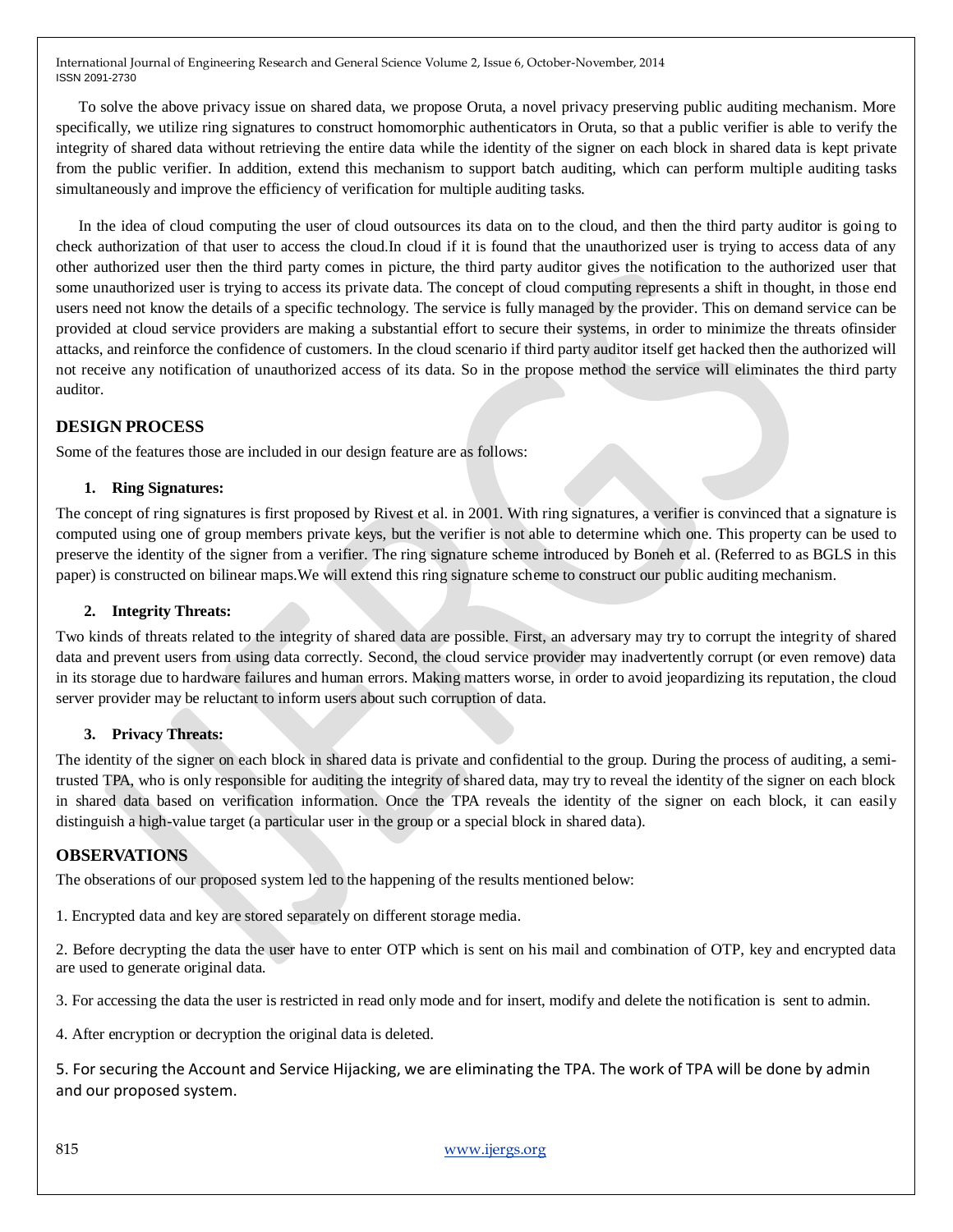To solve the above privacy issue on shared data, we propose Oruta, a novel privacy preserving public auditing mechanism. More specifically, we utilize ring signatures to construct homomorphic authenticators in Oruta, so that a public verifier is able to verify the integrity of shared data without retrieving the entire data while the identity of the signer on each block in shared data is kept private from the public verifier. In addition, extend this mechanism to support batch auditing, which can perform multiple auditing tasks simultaneously and improve the efficiency of verification for multiple auditing tasks.

In the idea of cloud computing the user of cloud outsources its data on to the cloud, and then the third party auditor is going to check authorization of that user to access the cloud.In cloud if it is found that the unauthorized user is trying to access data of any other authorized user then the third party comes in picture, the third party auditor gives the notification to the authorized user that some unauthorized user is trying to access its private data. The concept of cloud computing represents a shift in thought, in those end users need not know the details of a specific technology. The service is fully managed by the provider. This on demand service can be provided at cloud service providers are making a substantial effort to secure their systems, in order to minimize the threats ofinsider attacks, and reinforce the confidence of customers. In the cloud scenario if third party auditor itself get hacked then the authorized will not receive any notification of unauthorized access of its data. So in the propose method the service will eliminates the third party auditor.

## **DESIGN PROCESS**

Some of the features those are included in our design feature are as follows:

## **1. Ring Signatures:**

The concept of ring signatures is first proposed by Rivest et al. in 2001. With ring signatures, a verifier is convinced that a signature is computed using one of group members private keys, but the verifier is not able to determine which one. This property can be used to preserve the identity of the signer from a verifier. The ring signature scheme introduced by Boneh et al. (Referred to as BGLS in this paper) is constructed on bilinear maps.We will extend this ring signature scheme to construct our public auditing mechanism.

## **2. Integrity Threats:**

Two kinds of threats related to the integrity of shared data are possible. First, an adversary may try to corrupt the integrity of shared data and prevent users from using data correctly. Second, the cloud service provider may inadvertently corrupt (or even remove) data in its storage due to hardware failures and human errors. Making matters worse, in order to avoid jeopardizing its reputation, the cloud server provider may be reluctant to inform users about such corruption of data.

## **3. Privacy Threats:**

The identity of the signer on each block in shared data is private and confidential to the group. During the process of auditing, a semitrusted TPA, who is only responsible for auditing the integrity of shared data, may try to reveal the identity of the signer on each block in shared data based on verification information. Once the TPA reveals the identity of the signer on each block, it can easily distinguish a high-value target (a particular user in the group or a special block in shared data).

## **OBSERVATIONS**

The obserations of our proposed system led to the happening of the results mentioned below:

1. Encrypted data and key are stored separately on different storage media.

2. Before decrypting the data the user have to enter OTP which is sent on his mail and combination of OTP, key and encrypted data are used to generate original data.

3. For accessing the data the user is restricted in read only mode and for insert, modify and delete the notification is sent to admin.

4. After encryption or decryption the original data is deleted.

5. For securing the Account and Service Hijacking, we are eliminating the TPA. The work of TPA will be done by admin and our proposed system.